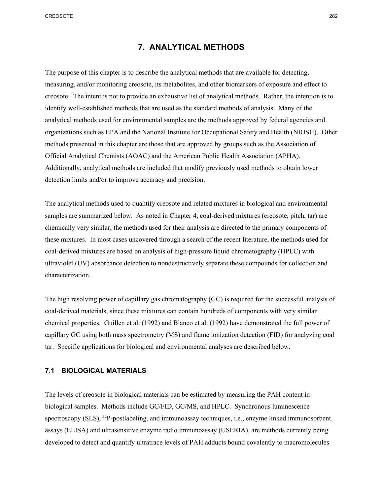### **7. ANALYTICAL METHODS**

The purpose of this chapter is to describe the analytical methods that are available for detecting, measuring, and/or monitoring creosote, its metabolites, and other biomarkers of exposure and effect to creosote. The intent is not to provide an exhaustive list of analytical methods. Rather, the intention is to identify well-established methods that are used as the standard methods of analysis. Many of the analytical methods used for environmental samples are the methods approved by federal agencies and organizations such as EPA and the National Institute for Occupational Safety and Health (NIOSH). Other methods presented in this chapter are those that are approved by groups such as the Association of Official Analytical Chemists (AOAC) and the American Public Health Association (APHA). Additionally, analytical methods are included that modify previously used methods to obtain lower detection limits and/or to improve accuracy and precision.

The analytical methods used to quantify creosote and related mixtures in biological and environmental samples are summarized below. As noted in Chapter 4, coal-derived mixtures (creosote, pitch, tar) are chemically very similar; the methods used for their analysis are directed to the primary components of these mixtures. In most cases uncovered through a search of the recent literature, the methods used for coal-derived mixtures are based on analysis of high-pressure liquid chromatography (HPLC) with ultraviolet (UV) absorbance detection to nondestructively separate these compounds for collection and characterization.

The high resolving power of capillary gas chromatography (GC) is required for the successful analysis of coal-derived materials, since these mixtures can contain hundreds of components with very similar chemical properties. Guillen et al. (1992) and Blanco et al. (1992) have demonstrated the full power of capillary GC using both mass spectrometry (MS) and flame ionization detection (FID) for analyzing coal tar. Specific applications for biological and environmental analyses are described below.

#### **7.1 BIOLOGICAL MATERIALS**

The levels of creosote in biological materials can be estimated by measuring the PAH content in biological samples. Methods include GC/FID, GC/MS, and HPLC. Synchronous luminescence spectroscopy (SLS), <sup>32</sup>P-postlabeling, and immunoassay techniques, i.e., enzyme linked immunosorbent assays (ELISA) and ultrasensitive enzyme radio immunoassay (USERIA), are methods currently being developed to detect and quantify ultratrace levels of PAH adducts bound covalently to macromolecules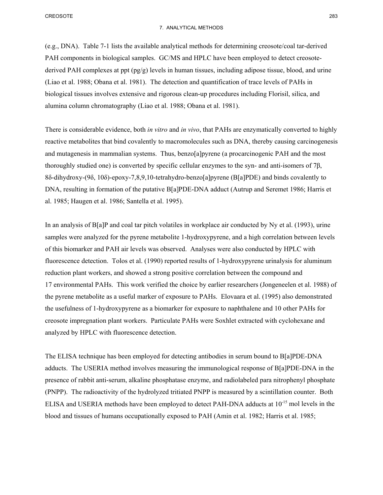CREOSOTE 283

#### 7. ANALYTICAL METHODS

(e.g., DNA). Table 7-1 lists the available analytical methods for determining creosote/coal tar-derived PAH components in biological samples. GC/MS and HPLC have been employed to detect creosotederived PAH complexes at ppt (pg/g) levels in human tissues, including adipose tissue, blood, and urine (Liao et al. 1988; Obana et al. 1981). The detection and quantification of trace levels of PAHs in biological tissues involves extensive and rigorous clean-up procedures including Florisil, silica, and alumina column chromatography (Liao et al. 1988; Obana et al. 1981).

There is considerable evidence, both *in vitro* and *in vivo*, that PAHs are enzymatically converted to highly reactive metabolites that bind covalently to macromolecules such as DNA, thereby causing carcinogenesis and mutagenesis in mammalian systems. Thus, benzo[a]pyrene (a procarcinogenic PAH and the most thoroughly studied one) is converted by specific cellular enzymes to the syn- and anti-isomers of 7β, 8δ-dihydroxy-(9δ, 10δ)-epoxy-7,8,9,10-tetrahydro-benzo[a]pyrene (B[a]PDE) and binds covalently to DNA, resulting in formation of the putative B[a]PDE-DNA adduct (Autrup and Seremet 1986; Harris et al. 1985; Haugen et al. 1986; Santella et al. 1995).

In an analysis of B[a]P and coal tar pitch volatiles in workplace air conducted by Ny et al. (1993), urine samples were analyzed for the pyrene metabolite 1-hydroxypyrene, and a high correlation between levels of this biomarker and PAH air levels was observed. Analyses were also conducted by HPLC with fluorescence detection. Tolos et al. (1990) reported results of 1-hydroxypyrene urinalysis for aluminum reduction plant workers, and showed a strong positive correlation between the compound and 17 environmental PAHs. This work verified the choice by earlier researchers (Jongeneelen et al. 1988) of the pyrene metabolite as a useful marker of exposure to PAHs. Elovaara et al. (1995) also demonstrated the usefulness of 1-hydroxypyrene as a biomarker for exposure to naphthalene and 10 other PAHs for creosote impregnation plant workers. Particulate PAHs were Soxhlet extracted with cyclohexane and analyzed by HPLC with fluorescence detection.

The ELISA technique has been employed for detecting antibodies in serum bound to B[a]PDE-DNA adducts. The USERIA method involves measuring the immunological response of B[a]PDE-DNA in the presence of rabbit anti-serum, alkaline phosphatase enzyme, and radiolabeled para nitrophenyl phosphate (PNPP). The radioactivity of the hydrolyzed tritiated PNPP is measured by a scintillation counter. Both ELISA and USERIA methods have been employed to detect PAH-DNA adducts at 10-15 mol levels in the blood and tissues of humans occupationally exposed to PAH (Amin et al. 1982; Harris et al. 1985;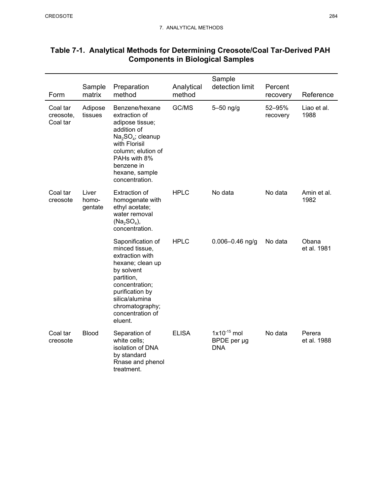|                                   |                           |                                                                                                                                                                                                                 |                      | Sample                                        |                     |                       |
|-----------------------------------|---------------------------|-----------------------------------------------------------------------------------------------------------------------------------------------------------------------------------------------------------------|----------------------|-----------------------------------------------|---------------------|-----------------------|
| Form                              | Sample<br>matrix          | Preparation<br>method                                                                                                                                                                                           | Analytical<br>method | detection limit                               | Percent<br>recovery | Reference             |
| Coal tar<br>creosote,<br>Coal tar | Adipose<br>tissues        | Benzene/hexane<br>extraction of<br>adipose tissue;<br>addition of<br>$Na2SO4$ ; cleanup<br>with Florisil<br>column; elution of<br>PAHs with 8%<br>benzene in<br>hexane, sample<br>concentration.                | GC/MS                | $5 - 50$ ng/g                                 | 52-95%<br>recovery  | Liao et al.<br>1988   |
| Coal tar<br>creosote              | Liver<br>homo-<br>gentate | <b>Extraction of</b><br>homogenate with<br>ethyl acetate;<br>water removal<br>$(Na_{2}SO_{4}),$<br>concentration.                                                                                               | <b>HPLC</b>          | No data                                       | No data             | Amin et al.<br>1982   |
|                                   |                           | Saponification of<br>minced tissue,<br>extraction with<br>hexane; clean up<br>by solvent<br>partition,<br>concentration;<br>purification by<br>silica/alumina<br>chromatography;<br>concentration of<br>eluent. | <b>HPLC</b>          | $0.006 - 0.46$ ng/g                           | No data             | Obana<br>et al. 1981  |
| Coal tar<br>creosote              | <b>Blood</b>              | Separation of<br>white cells;<br>isolation of DNA<br>by standard<br>Rnase and phenol<br>treatment.                                                                                                              | <b>ELISA</b>         | $1x10^{-15}$ mol<br>BPDE per µg<br><b>DNA</b> | No data             | Perera<br>et al. 1988 |

# **Table 7-1. Analytical Methods for Determining Creosote/Coal Tar-Derived PAH Components in Biological Samples**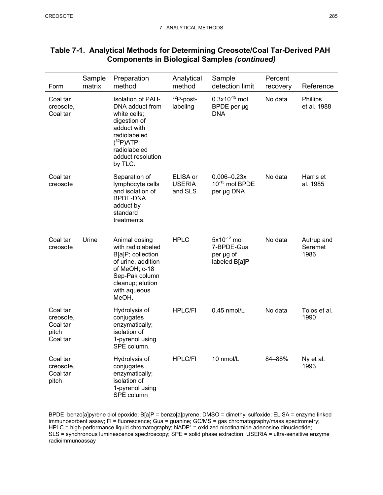| Form                                                   | Sample<br>matrix | Preparation<br>method                                                                                                                                                  | Analytical<br>method                 | Sample<br>detection limit                                    | Percent<br>recovery | Reference                      |
|--------------------------------------------------------|------------------|------------------------------------------------------------------------------------------------------------------------------------------------------------------------|--------------------------------------|--------------------------------------------------------------|---------------------|--------------------------------|
| Coal tar<br>creosote.<br>Coal tar                      |                  | Isolation of PAH-<br>DNA adduct from<br>white cells;<br>digestion of<br>adduct with<br>radiolabeled<br>$(^{32}P)$ ATP;<br>radiolabeled<br>adduct resolution<br>by TLC. | $32P$ -post-<br>labeling             | $0.3x10^{-15}$ mol<br>BPDE per µg<br>DNA                     | No data             | <b>Phillips</b><br>et al. 1988 |
| Coal tar<br>creosote                                   |                  | Separation of<br>lymphocyte cells<br>and isolation of<br><b>BPDE-DNA</b><br>adduct by<br>standard<br>treatments.                                                       | ELISA or<br><b>USERIA</b><br>and SLS | $0.006 - 0.23x$<br>10-15 mol BPDE<br>per µg DNA              | No data             | Harris et<br>al. 1985          |
| Coal tar<br>creosote                                   | Urine            | Animal dosing<br>with radiolabeled<br>B[a]P; collection<br>of urine, addition<br>of MeOH; c-18<br>Sep-Pak column<br>cleanup; elution<br>with aqueous<br>MeOH.          | <b>HPLC</b>                          | $5x10^{-12}$ mol<br>7-BPDE-Gua<br>per µg of<br>labeled B[a]P | No data             | Autrup and<br>Seremet<br>1986  |
| Coal tar<br>creosote,<br>Coal tar<br>pitch<br>Coal tar |                  | Hydrolysis of<br>conjugates<br>enzymatically;<br>isolation of<br>1-pyrenol using<br>SPE column.                                                                        | <b>HPLC/FI</b>                       | 0.45 nmol/L                                                  | No data             | Tolos et al.<br>1990           |
| Coal tar<br>creosote.<br>Coal tar<br>pitch             |                  | Hydrolysis of<br>conjugates<br>enzymatically;<br>isolation of<br>1-pyrenol using<br>SPE column                                                                         | <b>HPLC/FI</b>                       | 10 nmol/L                                                    | 84-88%              | Ny et al.<br>1993              |

## **Table 7-1. Analytical Methods for Determining Creosote/Coal Tar-Derived PAH Components in Biological Samples** *(continued)*

BPDE benzo[a]pyrene diol epoxide; B[a]P = benzo[a]pyrene; DMSO = dimethyl sulfoxide; ELISA = enzyme linked immunosorbent assay; FI = fluorescence; Gua = guanine; GC/MS = gas chromatography/mass spectrometry; HPLC = high-performance liquid chromatography; NADP<sup>+</sup> = oxidized nicotinamide adenosine dinucleotide; SLS = synchronous luminescence spectroscopy; SPE = solid phase extraction; USERIA = ultra-sensitive enzyme radioimmunoassay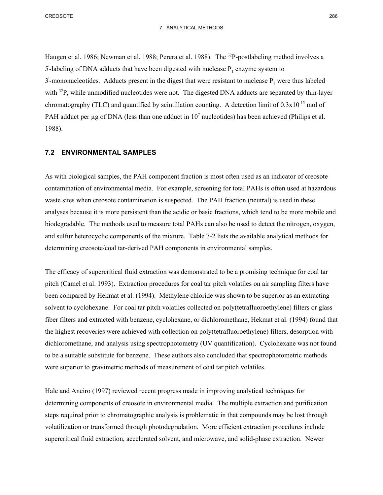Haugen et al. 1986; Newman et al. 1988; Perera et al. 1988). The <sup>32</sup>P-postlabeling method involves a 5'-labeling of DNA adducts that have been digested with nuclease  $P_1$  enzyme system to  $3'$ -mononucleotides. Adducts present in the digest that were resistant to nuclease  $P_1$  were thus labeled with <sup>32</sup>P, while unmodified nucleotides were not. The digested DNA adducts are separated by thin-layer chromatography (TLC) and quantified by scintillation counting. A detection limit of  $0.3 \times 10^{-15}$  mol of PAH adduct per µg of DNA (less than one adduct in 10<sup>7</sup> nucleotides) has been achieved (Philips et al. 1988).

#### **7.2 ENVIRONMENTAL SAMPLES**

As with biological samples, the PAH component fraction is most often used as an indicator of creosote contamination of environmental media. For example, screening for total PAHs is often used at hazardous waste sites when creosote contamination is suspected. The PAH fraction (neutral) is used in these analyses because it is more persistent than the acidic or basic fractions, which tend to be more mobile and biodegradable. The methods used to measure total PAHs can also be used to detect the nitrogen, oxygen, and sulfur heterocyclic components of the mixture. Table 7-2 lists the available analytical methods for determining creosote/coal tar-derived PAH components in environmental samples.

The efficacy of supercritical fluid extraction was demonstrated to be a promising technique for coal tar pitch (Camel et al. 1993). Extraction procedures for coal tar pitch volatiles on air sampling filters have been compared by Hekmat et al. (1994). Methylene chloride was shown to be superior as an extracting solvent to cyclohexane. For coal tar pitch volatiles collected on poly(tetrafluoroethylene) filters or glass fiber filters and extracted with benzene, cyclohexane, or dichloromethane, Hekmat et al. (1994) found that the highest recoveries were achieved with collection on poly(tetrafluoroethylene) filters, desorption with dichloromethane, and analysis using spectrophotometry (UV quantification). Cyclohexane was not found to be a suitable substitute for benzene. These authors also concluded that spectrophotometric methods were superior to gravimetric methods of measurement of coal tar pitch volatiles.

Hale and Aneiro (1997) reviewed recent progress made in improving analytical techniques for determining components of creosote in environmental media. The multiple extraction and purification steps required prior to chromatographic analysis is problematic in that compounds may be lost through volatilization or transformed through photodegradation. More efficient extraction procedures include supercritical fluid extraction, accelerated solvent, and microwave, and solid-phase extraction. Newer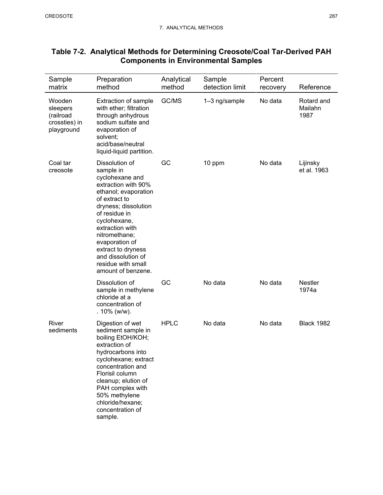| Sample<br>matrix                                               | Preparation<br>method                                                                                                                                                                                                                                                                                                 | Analytical<br>method | Sample<br>detection limit | Percent<br>recovery | Reference                     |
|----------------------------------------------------------------|-----------------------------------------------------------------------------------------------------------------------------------------------------------------------------------------------------------------------------------------------------------------------------------------------------------------------|----------------------|---------------------------|---------------------|-------------------------------|
| Wooden<br>sleepers<br>(railroad<br>crossties) in<br>playground | <b>Extraction of sample</b><br>with ether; filtration<br>through anhydrous<br>sodium sulfate and<br>evaporation of<br>solvent;<br>acid/base/neutral<br>liquid-liquid partition.                                                                                                                                       | GC/MS                | 1-3 ng/sample             | No data             | Rotard and<br>Mailahn<br>1987 |
| Coal tar<br>creosote                                           | Dissolution of<br>sample in<br>cyclohexane and<br>extraction with 90%<br>ethanol; evaporation<br>of extract to<br>dryness; dissolution<br>of residue in<br>cyclohexane,<br>extraction with<br>nitromethane;<br>evaporation of<br>extract to dryness<br>and dissolution of<br>residue with small<br>amount of benzene. | GC                   | 10 ppm                    | No data             | Lijinsky<br>et al. 1963       |
|                                                                | Dissolution of<br>sample in methylene<br>chloride at a<br>concentration of<br>$.10\%$ (w/w).                                                                                                                                                                                                                          | GC                   | No data                   | No data             | <b>Nestler</b><br>1974a       |
| River<br>sediments                                             | Digestion of wet<br>sediment sample in<br>boiling EtOH/KOH;<br>extraction of<br>hydrocarbons into<br>cyclohexane; extract<br>concentration and<br>Florisil column<br>cleanup; elution of<br>PAH complex with<br>50% methylene<br>chloride/hexane;<br>concentration of<br>sample.                                      | <b>HPLC</b>          | No data                   | No data             | <b>Black 1982</b>             |

# **Table 7-2. Analytical Methods for Determining Creosote/Coal Tar-Derived PAH Components in Environmental Samples**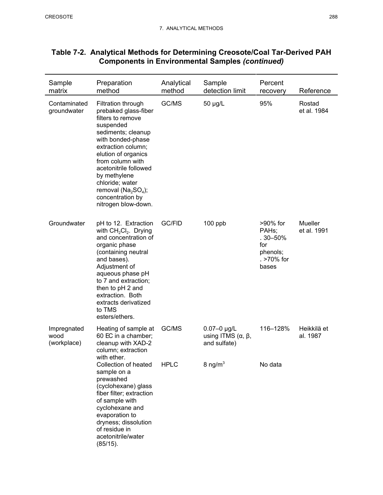| Sample<br>matrix                   | Preparation<br>method                                                                                                                                                                                                                                                                                                           | Analytical<br>method | Sample<br>detection limit                                                   | Percent<br>recovery                                                                     | Reference               |
|------------------------------------|---------------------------------------------------------------------------------------------------------------------------------------------------------------------------------------------------------------------------------------------------------------------------------------------------------------------------------|----------------------|-----------------------------------------------------------------------------|-----------------------------------------------------------------------------------------|-------------------------|
| Contaminated<br>groundwater        | <b>Filtration through</b><br>prebaked glass-fiber<br>filters to remove<br>suspended<br>sediments; cleanup<br>with bonded-phase<br>extraction column;<br>elution of organics<br>from column with<br>acetonitrile followed<br>by methylene<br>chloride; water<br>removal ( $Na2SO4$ );<br>concentration by<br>nitrogen blow-down. | GC/MS                | 50 µg/L                                                                     | 95%                                                                                     | Rostad<br>et al. 1984   |
| Groundwater                        | pH to 12. Extraction<br>with $CH2Cl2$ . Drying<br>and concentration of<br>organic phase<br>(containing neutral<br>and bases).<br>Adjustment of<br>aqueous phase pH<br>to 7 and extraction;<br>then to pH 2 and<br>extraction. Both<br>extracts derivatized<br>to TMS<br>esters/ethers.                                          | GC/FID               | 100 ppb                                                                     | >90% for<br>PAH <sub>s</sub> ;<br>$.30 - 50%$<br>for<br>phenols;<br>. >70% for<br>bases | Mueller<br>et al. 1991  |
| Impregnated<br>wood<br>(workplace) | Heating of sample at<br>60 EC in a chamber;<br>cleanup with XAD-2<br>column; extraction<br>with ether.                                                                                                                                                                                                                          | GC/MS                | $0.07 - 0$ $\mu$ g/L<br>using ITMS $(\alpha, \beta, \beta)$<br>and sulfate) | 116-128%                                                                                | Heikkilä et<br>al. 1987 |
|                                    | Collection of heated<br>sample on a<br>prewashed<br>(cyclohexane) glass<br>fiber filter; extraction<br>of sample with<br>cyclohexane and<br>evaporation to<br>dryness; dissolution<br>of residue in<br>acetonitrile/water<br>(85/15).                                                                                           | <b>HPLC</b>          | 8 ng/ $m3$                                                                  | No data                                                                                 |                         |

## **Table 7-2. Analytical Methods for Determining Creosote/Coal Tar-Derived PAH Components in Environmental Samples** *(continued)*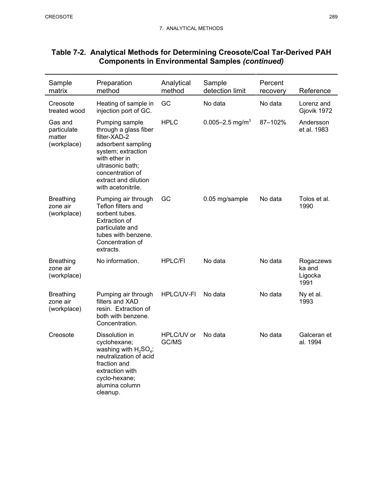| Sample<br>matrix                                | Preparation<br>method                                                                                                                                                                                      | Analytical<br>method | Sample<br>detection limit   | Percent<br>recovery | Reference                              |
|-------------------------------------------------|------------------------------------------------------------------------------------------------------------------------------------------------------------------------------------------------------------|----------------------|-----------------------------|---------------------|----------------------------------------|
| Creosote<br>treated wood                        | Heating of sample in<br>injection port of GC.                                                                                                                                                              | GC                   | No data                     | No data             | Lorenz and<br>Gjovik 1972              |
| Gas and<br>particulate<br>matter<br>(workplace) | Pumping sample<br>through a glass fiber<br>filter-XAD-2<br>adsorbent sampling<br>system; extraction<br>with ether in<br>ultrasonic bath;<br>concentration of<br>extract and dilution<br>with acetonitrile. | <b>HPLC</b>          | 0.005-2.5 mg/m <sup>3</sup> | 87-102%             | Andersson<br>et al. 1983               |
| <b>Breathing</b><br>zone air<br>(workplace)     | Pumping air through<br>Teflon filters and<br>sorbent tubes.<br>Extraction of<br>particulate and<br>tubes with benzene.<br>Concentration of<br>extracts.                                                    | GC                   | 0.05 mg/sample              | No data             | Tolos et al.<br>1990                   |
| <b>Breathing</b><br>zone air<br>(workplace)     | No information.                                                                                                                                                                                            | <b>HPLC/FI</b>       | No data                     | No data             | Rogaczews<br>ka and<br>Ligocka<br>1991 |
| <b>Breathing</b><br>zone air<br>(workplace)     | Pumping air through<br>filters and XAD<br>resin. Extraction of<br>both with benzene.<br>Concentration.                                                                                                     | HPLC/UV-FI           | No data                     | No data             | Ny et al.<br>1993                      |
| Creosote                                        | Dissolution in<br>cyclohexane;<br>washing with $H_2SO_4$ ;<br>neutralization of acid<br>fraction and<br>extraction with<br>cyclo-hexane;<br>alumina column<br>cleanup.                                     | HPLC/UV or<br>GC/MS  | No data                     | No data             | Galceran et<br>al. 1994                |

## **Table 7-2. Analytical Methods for Determining Creosote/Coal Tar-Derived PAH Components in Environmental Samples** *(continued)*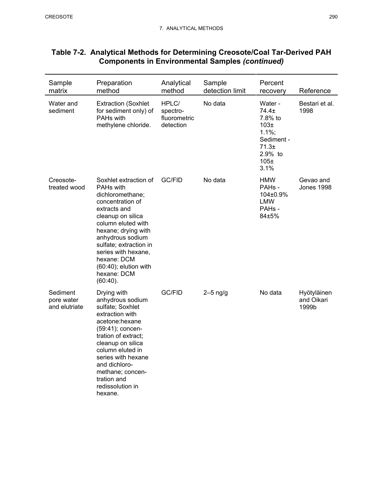| Sample<br>matrix                        | Preparation<br>method                                                                                                                                                                                                                                                                                             | Analytical<br>method                           | Sample<br>detection limit | Percent<br>recovery                                                                                                                    | Reference                          |
|-----------------------------------------|-------------------------------------------------------------------------------------------------------------------------------------------------------------------------------------------------------------------------------------------------------------------------------------------------------------------|------------------------------------------------|---------------------------|----------------------------------------------------------------------------------------------------------------------------------------|------------------------------------|
| Water and<br>sediment                   | <b>Extraction (Soxhlet</b><br>for sediment only) of<br>PAHs with<br>methylene chloride.                                                                                                                                                                                                                           | HPLC/<br>spectro-<br>fluorometric<br>detection | No data                   | Water -<br>74.4±<br>7.8% to<br>103 <sub>±</sub><br>$1.1\%$ ;<br>Sediment -<br>71.3 <sub>±</sub><br>2.9% to<br>105 <sub>±</sub><br>3.1% | Bestari et al.<br>1998             |
| Creosote-<br>treated wood               | Soxhlet extraction of<br><b>PAHs with</b><br>dichloromethane;<br>concentration of<br>extracts and<br>cleanup on silica<br>column eluted with<br>hexane; drying with<br>anhydrous sodium<br>sulfate; extraction in<br>series with hexane,<br>hexane: DCM<br>$(60:40)$ ; elution with<br>hexane: DCM<br>$(60:40)$ . | GC/FID                                         | No data                   | <b>HMW</b><br>PAHs -<br>104±0.9%<br><b>LMW</b><br>PAHs -<br>84±5%                                                                      | Gevao and<br><b>Jones 1998</b>     |
| Sediment<br>pore water<br>and elutriate | Drying with<br>anhydrous sodium<br>sulfate; Soxhlet<br>extraction with<br>acetone:hexane<br>(59:41); concen-<br>tration of extract;<br>cleanup on silica<br>column eluted in<br>series with hexane<br>and dichloro-<br>methane; concen-<br>tration and<br>redissolution in<br>hexane.                             | <b>GC/FID</b>                                  | $2-5$ ng/g                | No data                                                                                                                                | Hyötyläinen<br>and Oikari<br>1999b |

# **Table 7-2. Analytical Methods for Determining Creosote/Coal Tar-Derived PAH Components in Environmental Samples** *(continued)*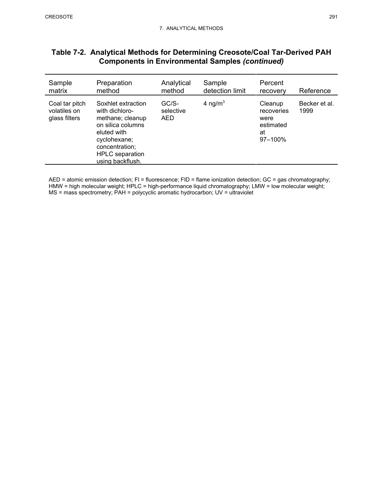| Table 7-2. Analytical Methods for Determining Creosote/Coal Tar-Derived PAH |
|-----------------------------------------------------------------------------|
| <b>Components in Environmental Samples (continued)</b>                      |

| Sample                                          | Preparation                                                                                                                                                                  | Analytical                       | Sample          | Percent                                                         | Reference             |
|-------------------------------------------------|------------------------------------------------------------------------------------------------------------------------------------------------------------------------------|----------------------------------|-----------------|-----------------------------------------------------------------|-----------------------|
| matrix                                          | method                                                                                                                                                                       | method                           | detection limit | recovery                                                        |                       |
| Coal tar pitch<br>volatiles on<br>glass filters | Soxhlet extraction<br>with dichloro-<br>methane; cleanup<br>on silica columns<br>eluted with<br>cyclohexane;<br>concentration;<br><b>HPLC</b> separation<br>using backflush. | GC/S-<br>selective<br><b>AED</b> | 4 ng/ $m3$      | Cleanup<br>recoveries<br>were<br>estimated<br>at<br>$97 - 100%$ | Becker et al.<br>1999 |

AED = atomic emission detection; Fl = fluorescence; FID = flame ionization detection; GC = gas chromatography; HMW = high molecular weight; HPLC = high-performance liquid chromatography; LMW = low molecular weight; MS = mass spectrometry; PAH = polycyclic aromatic hydrocarbon; UV = ultraviolet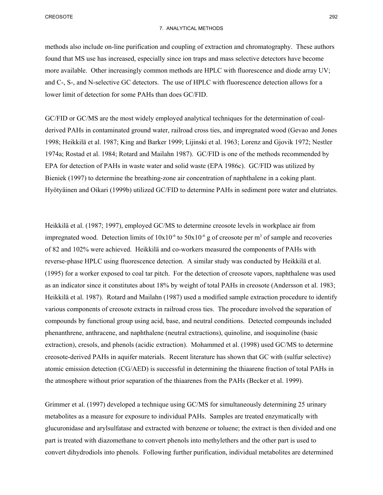CREOSOTE 292

#### 7. ANALYTICAL METHODS

methods also include on-line purification and coupling of extraction and chromatography. These authors found that MS use has increased, especially since ion traps and mass selective detectors have become more available. Other increasingly common methods are HPLC with fluorescence and diode array UV; and C-, S-, and N-selective GC detectors. The use of HPLC with fluorescence detection allows for a lower limit of detection for some PAHs than does GC/FID.

GC/FID or GC/MS are the most widely employed analytical techniques for the determination of coalderived PAHs in contaminated ground water, railroad cross ties, and impregnated wood (Gevao and Jones 1998; Heikkilä et al. 1987; King and Barker 1999; Lijinski et al. 1963; Lorenz and Gjovik 1972; Nestler 1974a; Rostad et al. 1984; Rotard and Mailahn 1987). GC/FID is one of the methods recommended by EPA for detection of PAHs in waste water and solid waste (EPA 1986c). GC/FID was utilized by Bieniek (1997) to determine the breathing-zone air concentration of naphthalene in a coking plant. Hyötyäinen and Oikari (1999b) utilized GC/FID to determine PAHs in sediment pore water and elutriates.

Heikkilä et al. (1987; 1997), employed GC/MS to determine creosote levels in workplace air from impregnated wood. Detection limits of  $10x10^{-6}$  to  $50x10^{-6}$  g of creosote per m<sup>3</sup> of sample and recoveries of 82 and 102% were achieved. Heikkilä and co-workers measured the components of PAHs with reverse-phase HPLC using fluorescence detection. A similar study was conducted by Heikkilä et al. (1995) for a worker exposed to coal tar pitch. For the detection of creosote vapors, naphthalene was used as an indicator since it constitutes about 18% by weight of total PAHs in creosote (Andersson et al. 1983; Heikkilä et al. 1987). Rotard and Mailahn (1987) used a modified sample extraction procedure to identify various components of creosote extracts in railroad cross ties. The procedure involved the separation of compounds by functional group using acid, base, and neutral conditions. Detected compounds included phenanthrene, anthracene, and naphthalene (neutral extractions), quinoline, and isoquinoline (basic extraction), cresols, and phenols (acidic extraction). Mohammed et al. (1998) used GC/MS to determine creosote-derived PAHs in aquifer materials. Recent literature has shown that GC with (sulfur selective) atomic emission detection (CG/AED) is successful in determining the thiaarene fraction of total PAHs in the atmosphere without prior separation of the thiaarenes from the PAHs (Becker et al. 1999).

Grimmer et al. (1997) developed a technique using GC/MS for simultaneously determining 25 urinary metabolites as a measure for exposure to individual PAHs. Samples are treated enzymatically with glucuronidase and arylsulfatase and extracted with benzene or toluene; the extract is then divided and one part is treated with diazomethane to convert phenols into methylethers and the other part is used to convert dihydrodiols into phenols. Following further purification, individual metabolites are determined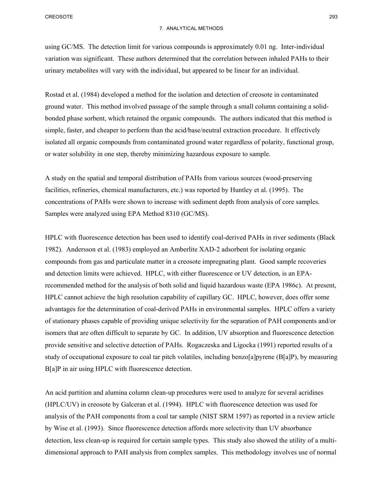using GC/MS. The detection limit for various compounds is approximately 0.01 ng. Inter-individual variation was significant. These authors determined that the correlation between inhaled PAHs to their urinary metabolites will vary with the individual, but appeared to be linear for an individual.

Rostad et al. (1984) developed a method for the isolation and detection of creosote in contaminated ground water. This method involved passage of the sample through a small column containing a solidbonded phase sorbent, which retained the organic compounds. The authors indicated that this method is simple, faster, and cheaper to perform than the acid/base/neutral extraction procedure. It effectively isolated all organic compounds from contaminated ground water regardless of polarity, functional group, or water solubility in one step, thereby minimizing hazardous exposure to sample.

A study on the spatial and temporal distribution of PAHs from various sources (wood-preserving facilities, refineries, chemical manufacturers, etc.) was reported by Huntley et al. (1995). The concentrations of PAHs were shown to increase with sediment depth from analysis of core samples. Samples were analyzed using EPA Method 8310 (GC/MS).

HPLC with fluorescence detection has been used to identify coal-derived PAHs in river sediments (Black 1982). Andersson et al. (1983) employed an Amberlite XAD-2 adsorbent for isolating organic compounds from gas and particulate matter in a creosote impregnating plant. Good sample recoveries and detection limits were achieved. HPLC, with either fluorescence or UV detection, is an EPArecommended method for the analysis of both solid and liquid hazardous waste (EPA 1986c). At present, HPLC cannot achieve the high resolution capability of capillary GC. HPLC, however, does offer some advantages for the determination of coal-derived PAHs in environmental samples. HPLC offers a variety of stationary phases capable of providing unique selectivity for the separation of PAH components and/or isomers that are often difficult to separate by GC. In addition, UV absorption and fluorescence detection provide sensitive and selective detection of PAHs. Rogaczeska and Ligocka (1991) reported results of a study of occupational exposure to coal tar pitch volatiles, including benzo[a]pyrene (B[a]P), by measuring B[a]P in air using HPLC with fluorescence detection.

An acid partition and alumina column clean-up procedures were used to analyze for several acridines (HPLC/UV) in creosote by Galceran et al. (1994). HPLC with fluorescence detection was used for analysis of the PAH components from a coal tar sample (NIST SRM 1597) as reported in a review article by Wise et al. (1993). Since fluorescence detection affords more selectivity than UV absorbance detection, less clean-up is required for certain sample types. This study also showed the utility of a multidimensional approach to PAH analysis from complex samples. This methodology involves use of normal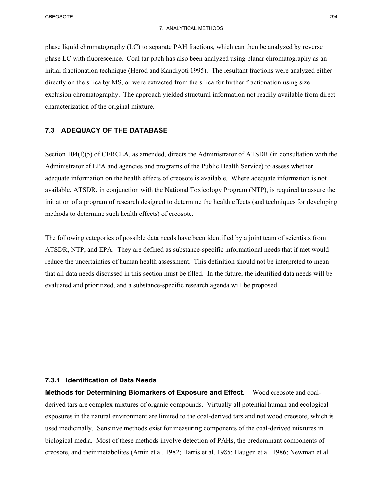phase liquid chromatography (LC) to separate PAH fractions, which can then be analyzed by reverse phase LC with fluorescence. Coal tar pitch has also been analyzed using planar chromatography as an initial fractionation technique (Herod and Kandiyoti 1995). The resultant fractions were analyzed either directly on the silica by MS, or were extracted from the silica for further fractionation using size exclusion chromatography. The approach yielded structural information not readily available from direct characterization of the original mixture.

#### **7.3 ADEQUACY OF THE DATABASE**

Section 104(I)(5) of CERCLA, as amended, directs the Administrator of ATSDR (in consultation with the Administrator of EPA and agencies and programs of the Public Health Service) to assess whether adequate information on the health effects of creosote is available. Where adequate information is not available, ATSDR, in conjunction with the National Toxicology Program (NTP), is required to assure the initiation of a program of research designed to determine the health effects (and techniques for developing methods to determine such health effects) of creosote.

The following categories of possible data needs have been identified by a joint team of scientists from ATSDR, NTP, and EPA. They are defined as substance-specific informational needs that if met would reduce the uncertainties of human health assessment. This definition should not be interpreted to mean that all data needs discussed in this section must be filled. In the future, the identified data needs will be evaluated and prioritized, and a substance-specific research agenda will be proposed.

#### **7.3.1 Identification of Data Needs**

 **Methods for Determining Biomarkers of Exposure and Effect.** Wood creosote and coalderived tars are complex mixtures of organic compounds. Virtually all potential human and ecological exposures in the natural environment are limited to the coal-derived tars and not wood creosote, which is used medicinally. Sensitive methods exist for measuring components of the coal-derived mixtures in biological media. Most of these methods involve detection of PAHs, the predominant components of creosote, and their metabolites (Amin et al. 1982; Harris et al. 1985; Haugen et al. 1986; Newman et al.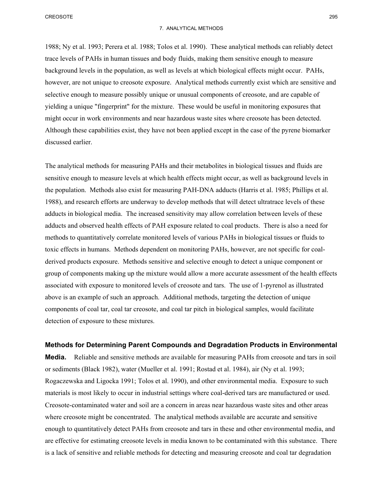CREOSOTE 295

1988; Ny et al. 1993; Perera et al. 1988; Tolos et al. 1990). These analytical methods can reliably detect trace levels of PAHs in human tissues and body fluids, making them sensitive enough to measure background levels in the population, as well as levels at which biological effects might occur. PAHs, however, are not unique to creosote exposure. Analytical methods currently exist which are sensitive and selective enough to measure possibly unique or unusual components of creosote, and are capable of yielding a unique "fingerprint" for the mixture. These would be useful in monitoring exposures that might occur in work environments and near hazardous waste sites where creosote has been detected. Although these capabilities exist, they have not been applied except in the case of the pyrene biomarker discussed earlier.

The analytical methods for measuring PAHs and their metabolites in biological tissues and fluids are sensitive enough to measure levels at which health effects might occur, as well as background levels in the population. Methods also exist for measuring PAH-DNA adducts (Harris et al. 1985; Phillips et al. 1988), and research efforts are underway to develop methods that will detect ultratrace levels of these adducts in biological media. The increased sensitivity may allow correlation between levels of these adducts and observed health effects of PAH exposure related to coal products. There is also a need for methods to quantitatively correlate monitored levels of various PAHs in biological tissues or fluids to toxic effects in humans. Methods dependent on monitoring PAHs, however, are not specific for coalderived products exposure. Methods sensitive and selective enough to detect a unique component or group of components making up the mixture would allow a more accurate assessment of the health effects associated with exposure to monitored levels of creosote and tars. The use of 1-pyrenol as illustrated above is an example of such an approach. Additional methods, targeting the detection of unique components of coal tar, coal tar creosote, and coal tar pitch in biological samples, would facilitate detection of exposure to these mixtures.

#### **Methods for Determining Parent Compounds and Degradation Products in Environmental**

Media. **Media.** Reliable and sensitive methods are available for measuring PAHs from creosote and tars in soil or sediments (Black 1982), water (Mueller et al. 1991; Rostad et al. 1984), air (Ny et al. 1993; Rogaczewska and Ligocka 1991; Tolos et al. 1990), and other environmental media. Exposure to such materials is most likely to occur in industrial settings where coal-derived tars are manufactured or used. Creosote-contaminated water and soil are a concern in areas near hazardous waste sites and other areas where creosote might be concentrated. The analytical methods available are accurate and sensitive enough to quantitatively detect PAHs from creosote and tars in these and other environmental media, and are effective for estimating creosote levels in media known to be contaminated with this substance. There is a lack of sensitive and reliable methods for detecting and measuring creosote and coal tar degradation